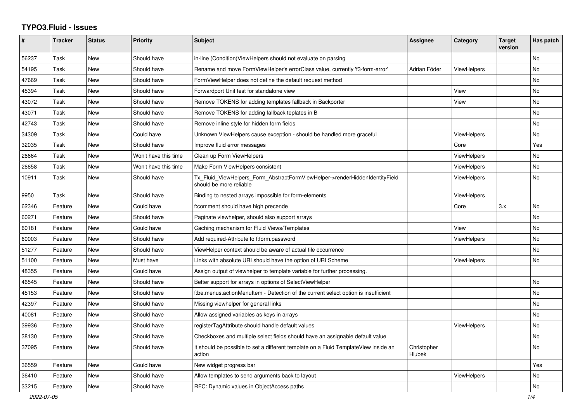## **TYPO3.Fluid - Issues**

| #     | Tracker | <b>Status</b> | <b>Priority</b>      | <b>Subject</b>                                                                                         | Assignee              | Category           | <b>Target</b><br>version | Has patch |
|-------|---------|---------------|----------------------|--------------------------------------------------------------------------------------------------------|-----------------------|--------------------|--------------------------|-----------|
| 56237 | Task    | <b>New</b>    | Should have          | in-line (Condition) View Helpers should not evaluate on parsing                                        |                       |                    |                          | <b>No</b> |
| 54195 | Task    | New           | Should have          | Rename and move FormViewHelper's errorClass value, currently 'f3-form-error'                           | Adrian Föder          | <b>ViewHelpers</b> |                          | <b>No</b> |
| 47669 | Task    | New           | Should have          | FormViewHelper does not define the default request method                                              |                       |                    |                          | No        |
| 45394 | Task    | <b>New</b>    | Should have          | Forwardport Unit test for standalone view                                                              |                       | View               |                          | No        |
| 43072 | Task    | New           | Should have          | Remove TOKENS for adding templates fallback in Backporter                                              |                       | View               |                          | No        |
| 43071 | Task    | <b>New</b>    | Should have          | Remove TOKENS for adding fallback teplates in B                                                        |                       |                    |                          | <b>No</b> |
| 42743 | Task    | <b>New</b>    | Should have          | Remove inline style for hidden form fields                                                             |                       |                    |                          | <b>No</b> |
| 34309 | Task    | <b>New</b>    | Could have           | Unknown ViewHelpers cause exception - should be handled more graceful                                  |                       | ViewHelpers        |                          | <b>No</b> |
| 32035 | Task    | New           | Should have          | Improve fluid error messages                                                                           |                       | Core               |                          | Yes       |
| 26664 | Task    | New           | Won't have this time | Clean up Form ViewHelpers                                                                              |                       | <b>ViewHelpers</b> |                          | No.       |
| 26658 | Task    | New           | Won't have this time | Make Form ViewHelpers consistent                                                                       |                       | ViewHelpers        |                          | No        |
| 10911 | Task    | New           | Should have          | Tx Fluid ViewHelpers Form AbstractFormViewHelper->renderHiddenIdentityField<br>should be more reliable |                       | ViewHelpers        |                          | No        |
| 9950  | Task    | New           | Should have          | Binding to nested arrays impossible for form-elements                                                  |                       | ViewHelpers        |                          |           |
| 62346 | Feature | New           | Could have           | f:comment should have high precende                                                                    |                       | Core               | 3.x                      | No        |
| 60271 | Feature | <b>New</b>    | Should have          | Paginate viewhelper, should also support arrays                                                        |                       |                    |                          | <b>No</b> |
| 60181 | Feature | <b>New</b>    | Could have           | Caching mechanism for Fluid Views/Templates                                                            |                       | View               |                          | <b>No</b> |
| 60003 | Feature | New           | Should have          | Add required-Attribute to f:form.password                                                              |                       | <b>ViewHelpers</b> |                          | <b>No</b> |
| 51277 | Feature | <b>New</b>    | Should have          | ViewHelper context should be aware of actual file occurrence                                           |                       |                    |                          | No        |
| 51100 | Feature | New           | Must have            | Links with absolute URI should have the option of URI Scheme                                           |                       | <b>ViewHelpers</b> |                          | No        |
| 48355 | Feature | New           | Could have           | Assign output of viewhelper to template variable for further processing.                               |                       |                    |                          |           |
| 46545 | Feature | New           | Should have          | Better support for arrays in options of SelectViewHelper                                               |                       |                    |                          | No        |
| 45153 | Feature | New           | Should have          | f:be.menus.actionMenuItem - Detection of the current select option is insufficient                     |                       |                    |                          | No        |
| 42397 | Feature | <b>New</b>    | Should have          | Missing viewhelper for general links                                                                   |                       |                    |                          | No        |
| 40081 | Feature | New           | Should have          | Allow assigned variables as keys in arrays                                                             |                       |                    |                          | <b>No</b> |
| 39936 | Feature | <b>New</b>    | Should have          | registerTagAttribute should handle default values                                                      |                       | <b>ViewHelpers</b> |                          | No        |
| 38130 | Feature | <b>New</b>    | Should have          | Checkboxes and multiple select fields should have an assignable default value                          |                       |                    |                          | <b>No</b> |
| 37095 | Feature | New           | Should have          | It should be possible to set a different template on a Fluid TemplateView inside an<br>action          | Christopher<br>Hlubek |                    |                          | No        |
| 36559 | Feature | <b>New</b>    | Could have           | New widget progress bar                                                                                |                       |                    |                          | Yes       |
| 36410 | Feature | New           | Should have          | Allow templates to send arguments back to layout                                                       |                       | <b>ViewHelpers</b> |                          | No        |
| 33215 | Feature | New           | Should have          | RFC: Dynamic values in ObjectAccess paths                                                              |                       |                    |                          | No        |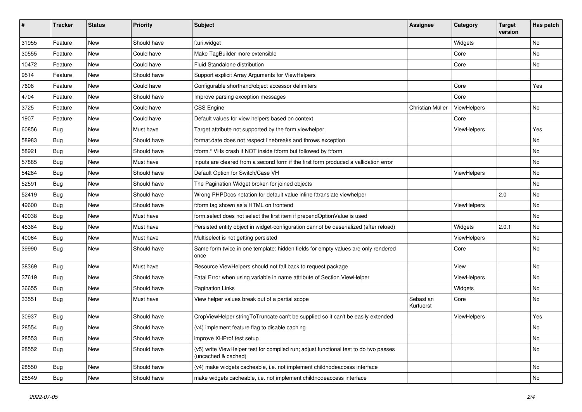| #     | <b>Tracker</b> | <b>Status</b> | <b>Priority</b> | <b>Subject</b>                                                                                              | <b>Assignee</b>        | Category    | <b>Target</b><br>version | Has patch |
|-------|----------------|---------------|-----------------|-------------------------------------------------------------------------------------------------------------|------------------------|-------------|--------------------------|-----------|
| 31955 | Feature        | New           | Should have     | f:uri.widget                                                                                                |                        | Widgets     |                          | <b>No</b> |
| 30555 | Feature        | New           | Could have      | Make TagBuilder more extensible                                                                             |                        | Core        |                          | No        |
| 10472 | Feature        | New           | Could have      | Fluid Standalone distribution                                                                               |                        | Core        |                          | No        |
| 9514  | Feature        | New           | Should have     | Support explicit Array Arguments for ViewHelpers                                                            |                        |             |                          |           |
| 7608  | Feature        | New           | Could have      | Configurable shorthand/object accessor delimiters                                                           |                        | Core        |                          | Yes       |
| 4704  | Feature        | New           | Should have     | Improve parsing exception messages                                                                          |                        | Core        |                          |           |
| 3725  | Feature        | New           | Could have      | <b>CSS Engine</b>                                                                                           | Christian Müller       | ViewHelpers |                          | No        |
| 1907  | Feature        | New           | Could have      | Default values for view helpers based on context                                                            |                        | Core        |                          |           |
| 60856 | Bug            | New           | Must have       | Target attribute not supported by the form viewhelper                                                       |                        | ViewHelpers |                          | Yes       |
| 58983 | Bug            | New           | Should have     | format.date does not respect linebreaks and throws exception                                                |                        |             |                          | No        |
| 58921 | Bug            | New           | Should have     | f:form.* VHs crash if NOT inside f:form but followed by f:form                                              |                        |             |                          | <b>No</b> |
| 57885 | Bug            | New           | Must have       | Inputs are cleared from a second form if the first form produced a vallidation error                        |                        |             |                          | No        |
| 54284 | Bug            | New           | Should have     | Default Option for Switch/Case VH                                                                           |                        | ViewHelpers |                          | No        |
| 52591 | Bug            | New           | Should have     | The Pagination Widget broken for joined objects                                                             |                        |             |                          | No        |
| 52419 | <b>Bug</b>     | New           | Should have     | Wrong PHPDocs notation for default value inline f:translate viewhelper                                      |                        |             | 2.0                      | No        |
| 49600 | Bug            | New           | Should have     | f:form tag shown as a HTML on frontend                                                                      |                        | ViewHelpers |                          | No        |
| 49038 | Bug            | New           | Must have       | form.select does not select the first item if prependOptionValue is used                                    |                        |             |                          | No        |
| 45384 | Bug            | New           | Must have       | Persisted entity object in widget-configuration cannot be deserialized (after reload)                       |                        | Widgets     | 2.0.1                    | No        |
| 40064 | Bug            | New           | Must have       | Multiselect is not getting persisted                                                                        |                        | ViewHelpers |                          | No        |
| 39990 | Bug            | New           | Should have     | Same form twice in one template: hidden fields for empty values are only rendered<br>once                   |                        | Core        |                          | No        |
| 38369 | Bug            | New           | Must have       | Resource ViewHelpers should not fall back to request package                                                |                        | View        |                          | No        |
| 37619 | Bug            | New           | Should have     | Fatal Error when using variable in name attribute of Section ViewHelper                                     |                        | ViewHelpers |                          | No        |
| 36655 | Bug            | New           | Should have     | <b>Pagination Links</b>                                                                                     |                        | Widgets     |                          | <b>No</b> |
| 33551 | Bug            | New           | Must have       | View helper values break out of a partial scope                                                             | Sebastian<br>Kurfuerst | Core        |                          | No        |
| 30937 | Bug            | New           | Should have     | CropViewHelper stringToTruncate can't be supplied so it can't be easily extended                            |                        | ViewHelpers |                          | Yes       |
| 28554 | Bug            | New           | Should have     | (v4) implement feature flag to disable caching                                                              |                        |             |                          | No        |
| 28553 | <b>Bug</b>     | New           | Should have     | improve XHProf test setup                                                                                   |                        |             |                          | No        |
| 28552 | <b>Bug</b>     | New           | Should have     | (v5) write ViewHelper test for compiled run; adjust functional test to do two passes<br>(uncached & cached) |                        |             |                          | No        |
| 28550 | <b>Bug</b>     | New           | Should have     | (v4) make widgets cacheable, i.e. not implement childnodeaccess interface                                   |                        |             |                          | No        |
| 28549 | <b>Bug</b>     | New           | Should have     | make widgets cacheable, i.e. not implement childnodeaccess interface                                        |                        |             |                          | No        |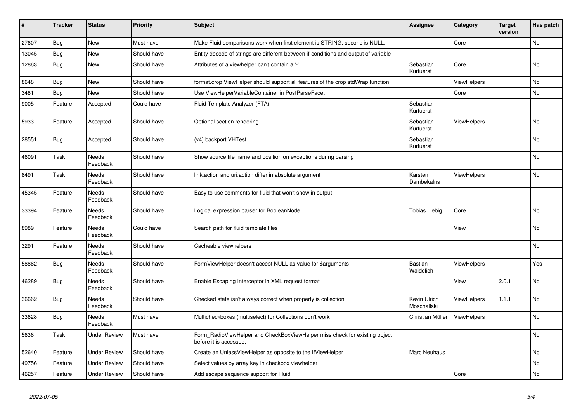| $\vert$ # | <b>Tracker</b> | <b>Status</b>            | <b>Priority</b> | <b>Subject</b>                                                                                       | <b>Assignee</b>             | Category           | <b>Target</b><br>version | Has patch |
|-----------|----------------|--------------------------|-----------------|------------------------------------------------------------------------------------------------------|-----------------------------|--------------------|--------------------------|-----------|
| 27607     | <b>Bug</b>     | New                      | Must have       | Make Fluid comparisons work when first element is STRING, second is NULL.                            |                             | Core               |                          | <b>No</b> |
| 13045     | Bug            | New                      | Should have     | Entity decode of strings are different between if-conditions and output of variable                  |                             |                    |                          |           |
| 12863     | <b>Bug</b>     | New                      | Should have     | Attributes of a viewhelper can't contain a '-'                                                       | Sebastian<br>Kurfuerst      | Core               |                          | <b>No</b> |
| 8648      | Bug            | New                      | Should have     | format.crop ViewHelper should support all features of the crop stdWrap function                      |                             | ViewHelpers        |                          | <b>No</b> |
| 3481      | <b>Bug</b>     | <b>New</b>               | Should have     | Use ViewHelperVariableContainer in PostParseFacet                                                    |                             | Core               |                          | <b>No</b> |
| 9005      | Feature        | Accepted                 | Could have      | Fluid Template Analyzer (FTA)                                                                        | Sebastian<br>Kurfuerst      |                    |                          |           |
| 5933      | Feature        | Accepted                 | Should have     | Optional section rendering                                                                           | Sebastian<br>Kurfuerst      | <b>ViewHelpers</b> |                          | No        |
| 28551     | Bug            | Accepted                 | Should have     | (v4) backport VHTest                                                                                 | Sebastian<br>Kurfuerst      |                    |                          | No        |
| 46091     | Task           | Needs<br>Feedback        | Should have     | Show source file name and position on exceptions during parsing                                      |                             |                    |                          | No        |
| 8491      | Task           | Needs<br>Feedback        | Should have     | link.action and uri.action differ in absolute argument                                               | Karsten<br>Dambekalns       | ViewHelpers        |                          | <b>No</b> |
| 45345     | Feature        | Needs<br>Feedback        | Should have     | Easy to use comments for fluid that won't show in output                                             |                             |                    |                          |           |
| 33394     | Feature        | Needs<br>Feedback        | Should have     | Logical expression parser for BooleanNode                                                            | <b>Tobias Liebig</b>        | Core               |                          | No        |
| 8989      | Feature        | Needs<br>Feedback        | Could have      | Search path for fluid template files                                                                 |                             | View               |                          | <b>No</b> |
| 3291      | Feature        | Needs<br>Feedback        | Should have     | Cacheable viewhelpers                                                                                |                             |                    |                          | <b>No</b> |
| 58862     | Bug            | Needs<br>Feedback        | Should have     | FormViewHelper doesn't accept NULL as value for \$arguments                                          | Bastian<br>Waidelich        | <b>ViewHelpers</b> |                          | Yes       |
| 46289     | Bug            | Needs<br>Feedback        | Should have     | Enable Escaping Interceptor in XML request format                                                    |                             | View               | 2.0.1                    | No        |
| 36662     | Bug            | Needs<br>Feedback        | Should have     | Checked state isn't always correct when property is collection                                       | Kevin Ulrich<br>Moschallski | <b>ViewHelpers</b> | 1.1.1                    | <b>No</b> |
| 33628     | <b>Bug</b>     | <b>Needs</b><br>Feedback | Must have       | Multicheckboxes (multiselect) for Collections don't work                                             | Christian Müller            | <b>ViewHelpers</b> |                          | <b>No</b> |
| 5636      | Task           | <b>Under Review</b>      | Must have       | Form_RadioViewHelper and CheckBoxViewHelper miss check for existing object<br>before it is accessed. |                             |                    |                          | <b>No</b> |
| 52640     | Feature        | <b>Under Review</b>      | Should have     | Create an UnlessViewHelper as opposite to the IfViewHelper                                           | Marc Neuhaus                |                    |                          | <b>No</b> |
| 49756     | Feature        | Under Review             | Should have     | Select values by array key in checkbox viewhelper                                                    |                             |                    |                          | No        |
| 46257     | Feature        | <b>Under Review</b>      | Should have     | Add escape sequence support for Fluid                                                                |                             | Core               |                          | No        |